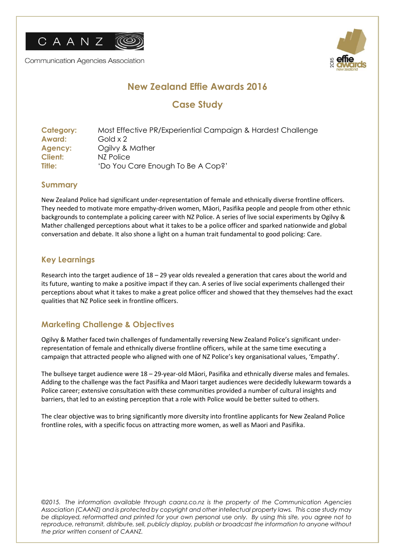

Communication Agencies Association



# **New Zealand Effie Awards 2016**

# **Case Study**

| <b>Category:</b> | Most Effective PR/Experiential Campaign & Hardest Challenge |
|------------------|-------------------------------------------------------------|
| Award:           | Gold x 2                                                    |
| Agency:          | Ogilvy & Mather                                             |
| <b>Client:</b>   | NZ Police                                                   |
| Title:           | 'Do You Care Enough To Be A Cop?'                           |

#### **Summary**

New Zealand Police had significant under-representation of female and ethnically diverse frontline officers. They needed to motivate more empathy-driven women, Māori, Pasifika people and people from other ethnic backgrounds to contemplate a policing career with NZ Police. A series of live social experiments by Ogilvy & Mather challenged perceptions about what it takes to be a police officer and sparked nationwide and global conversation and debate. It also shone a light on a human trait fundamental to good policing: Care.

## **Key Learnings**

Research into the target audience of 18 – 29 year olds revealed a generation that cares about the world and its future, wanting to make a positive impact if they can. A series of live social experiments challenged their perceptions about what it takes to make a great police officer and showed that they themselves had the exact qualities that NZ Police seek in frontline officers.

## **Marketing Challenge & Objectives**

Ogilvy & Mather faced twin challenges of fundamentally reversing New Zealand Police's significant underrepresentation of female and ethnically diverse frontline officers, while at the same time executing a campaign that attracted people who aligned with one of NZ Police's key organisational values, 'Empathy'.

The bullseye target audience were 18 – 29-year-old Māori, Pasifika and ethnically diverse males and females. Adding to the challenge was the fact Pasifika and Maori target audiences were decidedly lukewarm towards a Police career; extensive consultation with these communities provided a number of cultural insights and barriers, that led to an existing perception that a role with Police would be better suited to others.

The clear objective was to bring significantly more diversity into frontline applicants for New Zealand Police frontline roles, with a specific focus on attracting more women, as well as Maori and Pasifika.

*©2015. The information available through caanz.co.nz is the property of the Communication Agencies Association (CAANZ) and is protected by copyright and other intellectual property laws. This case study may be displayed, reformatted and printed for your own personal use only. By using this site, you agree not to*  reproduce, retransmit, distribute, sell, publicly display, publish or broadcast the information to anyone without *the prior written consent of CAANZ.*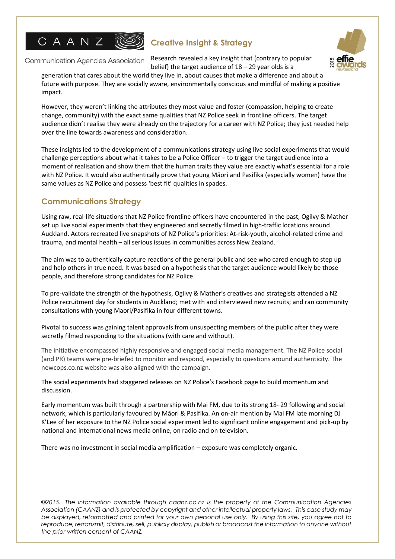

Communication Agencies Association



Research revealed a key insight that (contrary to popular belief) the target audience of  $18 - 29$  year olds is a

generation that cares about the world they live in, about causes that make a difference and about a future with purpose. They are socially aware, environmentally conscious and mindful of making a positive impact.

However, they weren't linking the attributes they most value and foster (compassion, helping to create change, community) with the exact same qualities that NZ Police seek in frontline officers. The target audience didn't realise they were already on the trajectory for a career with NZ Police; they just needed help over the line towards awareness and consideration.

These insights led to the development of a communications strategy using live social experiments that would challenge perceptions about what it takes to be a Police Officer – to trigger the target audience into a moment of realisation and show them that the human traits they value are exactly what's essential for a role with NZ Police. It would also authentically prove that young Māori and Pasifika (especially women) have the same values as NZ Police and possess 'best fit' qualities in spades.

## **Communications Strategy**

Using raw, real-life situations that NZ Police frontline officers have encountered in the past, Ogilvy & Mather set up live social experiments that they engineered and secretly filmed in high-traffic locations around Auckland. Actors recreated live snapshots of NZ Police's priorities: At-risk-youth, alcohol-related crime and trauma, and mental health – all serious issues in communities across New Zealand.

The aim was to authentically capture reactions of the general public and see who cared enough to step up and help others in true need. It was based on a hypothesis that the target audience would likely be those people, and therefore strong candidates for NZ Police.

To pre-validate the strength of the hypothesis, Ogilvy & Mather's creatives and strategists attended a NZ Police recruitment day for students in Auckland; met with and interviewed new recruits; and ran community consultations with young Maori/Pasifika in four different towns.

Pivotal to success was gaining talent approvals from unsuspecting members of the public after they were secretly filmed responding to the situations (with care and without).

The initiative encompassed highly responsive and engaged social media management. The NZ Police social (and PR) teams were pre-briefed to monitor and respond, especially to questions around authenticity. The newcops.co.nz website was also aligned with the campaign.

The social experiments had staggered releases on NZ Police's Facebook page to build momentum and discussion.

Early momentum was built through a partnership with Mai FM, due to its strong 18- 29 following and social network, which is particularly favoured by Māori & Pasifika. An on-air mention by Mai FM late morning DJ K'Lee of her exposure to the NZ Police social experiment led to significant online engagement and pick-up by national and international news media online, on radio and on television.

There was no investment in social media amplification – exposure was completely organic.

*©2015. The information available through caanz.co.nz is the property of the Communication Agencies Association (CAANZ) and is protected by copyright and other intellectual property laws. This case study may be displayed, reformatted and printed for your own personal use only. By using this site, you agree not to*  reproduce, retransmit, distribute, sell, publicly display, publish or broadcast the information to anyone without *the prior written consent of CAANZ.*